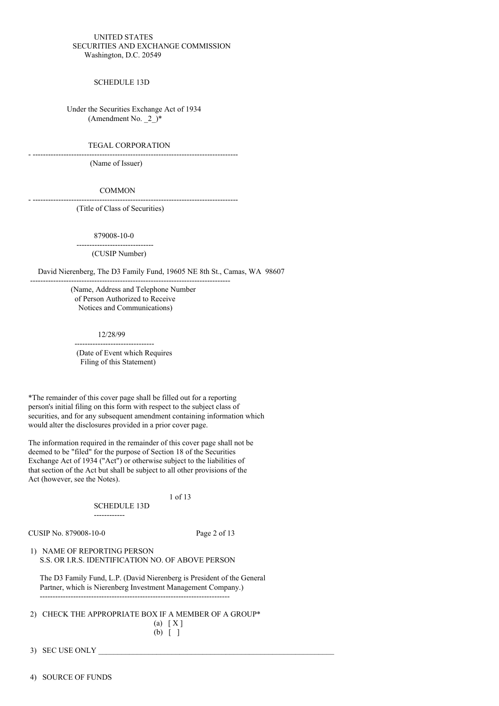#### UNITED STATES SECURITIES AND EXCHANGE COMMISSION Washington, D.C. 20549

SCHEDULE 13D

Under the Securities Exchange Act of 1934 (Amendment No.  $2^+$ 

#### TEGAL CORPORATION

- --------------------------------------------------------------------------------

(Name of Issuer)

#### COMMON

- -------------------------------------------------------------------------------- (Title of Class of Securities)

879008-10-0 ------------------------------

(CUSIP Number)

David Nierenberg, The D3 Family Fund, 19605 NE 8th St., Camas, WA 98607

(Name, Address and Telephone Number of Person Authorized to Receive Notices and Communications)

------------------------------------------------------------------------------

12/28/99

-------------------------------

(Date of Event which Requires Filing of this Statement)

\*The remainder of this cover page shall be filled out for a reporting person's initial filing on this form with respect to the subject class of securities, and for any subsequent amendment containing information which would alter the disclosures provided in a prior cover page.

The information required in the remainder of this cover page shall not be deemed to be "filed" for the purpose of Section 18 of the Securities Exchange Act of 1934 ("Act") or otherwise subject to the liabilities of that section of the Act but shall be subject to all other provisions of the Act (however, see the Notes).

#### 1 of 13

SCHEDULE 13D

------------

CUSIP No. 879008-10-0 Page 2 of 13

1) NAME OF REPORTING PERSON S.S. OR I.R.S. IDENTIFICATION NO. OF ABOVE PERSON

The D3 Family Fund, L.P. (David Nierenberg is President of the General Partner, which is Nierenberg Investment Management Company.) --------------------------------------------------------------------------

2) CHECK THE APPROPRIATE BOX IF A MEMBER OF A GROUP\*

 $(a) \mid X$ ] (b) [ ]

3) SEC USE ONLY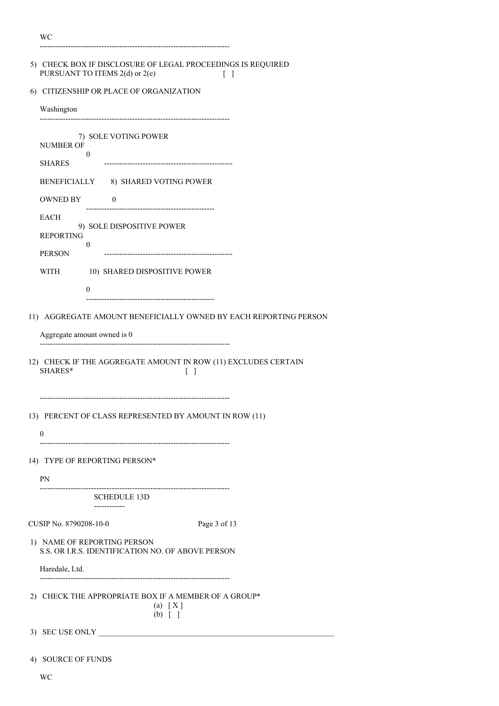| w                                                                                                                   |  |  |
|---------------------------------------------------------------------------------------------------------------------|--|--|
| 5) CHECK BOX IF DISCLOSURE OF LEGAL PROCEEDINGS IS REQUIRED<br>PURSUANT TO ITEMS 2(d) or 2(e)<br>$\lceil \; \rceil$ |  |  |
| 6) CITIZENSHIP OR PLACE OF ORGANIZATION                                                                             |  |  |
| Washington                                                                                                          |  |  |
| 7) SOLE VOTING POWER<br><b>NUMBER OF</b><br>0<br><b>SHARES</b>                                                      |  |  |
| BENEFICIALLY 8) SHARED VOTING POWER                                                                                 |  |  |
| <b>OWNED BY</b><br>$\theta$                                                                                         |  |  |
| EACH<br>9) SOLE DISPOSITIVE POWER<br><b>REPORTING</b><br>$\Omega$<br><b>PERSON</b>                                  |  |  |
| <b>WITH</b><br>10) SHARED DISPOSITIVE POWER                                                                         |  |  |
| $\theta$                                                                                                            |  |  |
|                                                                                                                     |  |  |
| 11) AGGREGATE AMOUNT BENEFICIALLY OWNED BY EACH REPORTING PERSON                                                    |  |  |
| Aggregate amount owned is 0                                                                                         |  |  |
| 12) CHECK IF THE AGGREGATE AMOUNT IN ROW (11) EXCLUDES CERTAIN<br>SHARES*<br>Γl                                     |  |  |
| 13) PERCENT OF CLASS REPRESENTED BY AMOUNT IN ROW (11)<br>0                                                         |  |  |
| 14) TYPE OF REPORTING PERSON*                                                                                       |  |  |
| PN                                                                                                                  |  |  |
| <b>SCHEDULE 13D</b>                                                                                                 |  |  |
| ------------                                                                                                        |  |  |
| CUSIP No. 8790208-10-0<br>Page 3 of 13                                                                              |  |  |
| 1) NAME OF REPORTING PERSON<br>S.S. OR I.R.S. IDENTIFICATION NO. OF ABOVE PERSON                                    |  |  |
| Haredale, Ltd.                                                                                                      |  |  |
| 2) CHECK THE APPROPRIATE BOX IF A MEMBER OF A GROUP*<br>(a) [X]<br>$(b)$ [ ]                                        |  |  |
| 3) SEC USE ONLY                                                                                                     |  |  |
| 4) SOURCE OF FUNDS                                                                                                  |  |  |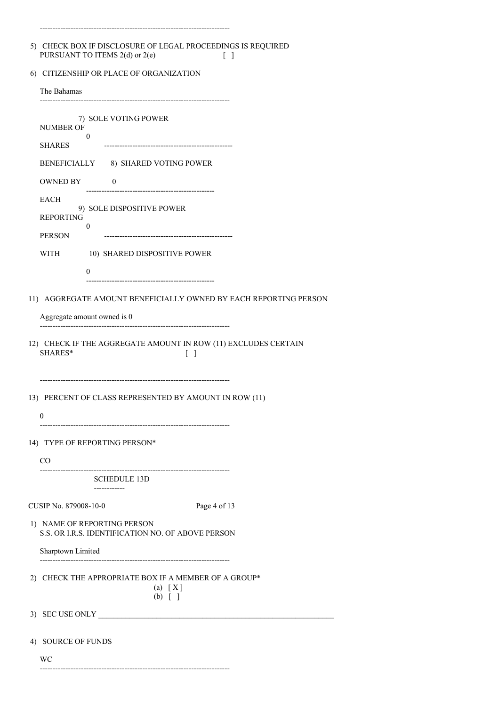| 5) CHECK BOX IF DISCLOSURE OF LEGAL PROCEEDINGS IS REQUIRED |  |
|-------------------------------------------------------------|--|
| PURSUANT TO ITEMS $2(d)$ or $2(e)$                          |  |

--------------------------------------------------------------------------

6) CITIZENSHIP OR PLACE OF ORGANIZATION

| The Bahamas                                                                            |  |  |  |  |
|----------------------------------------------------------------------------------------|--|--|--|--|
| 7) SOLE VOTING POWER<br><b>NUMBER OF</b><br>$\mathbf{0}$<br><b>SHARES</b>              |  |  |  |  |
| BENEFICIALLY 8) SHARED VOTING POWER                                                    |  |  |  |  |
| OWNED BY<br>$\overline{0}$                                                             |  |  |  |  |
| EACH<br>9) SOLE DISPOSITIVE POWER<br><b>REPORTING</b><br>$\mathbf{0}$<br><b>PERSON</b> |  |  |  |  |
| WITH 10) SHARED DISPOSITIVE POWER                                                      |  |  |  |  |
| 0                                                                                      |  |  |  |  |
| 11) AGGREGATE AMOUNT BENEFICIALLY OWNED BY EACH REPORTING PERSON                       |  |  |  |  |
| Aggregate amount owned is 0<br>------------------------------------                    |  |  |  |  |
| 12) CHECK IF THE AGGREGATE AMOUNT IN ROW (11) EXCLUDES CERTAIN<br>SHARES*<br>$\Box$    |  |  |  |  |
| 13) PERCENT OF CLASS REPRESENTED BY AMOUNT IN ROW (11)<br>$\theta$                     |  |  |  |  |
| 14) TYPE OF REPORTING PERSON*                                                          |  |  |  |  |
| CO                                                                                     |  |  |  |  |
| <b>SCHEDULE 13D</b>                                                                    |  |  |  |  |
| ------------<br>CUSIP No. 879008-10-0<br>Page 4 of 13                                  |  |  |  |  |
| 1) NAME OF REPORTING PERSON<br>S.S. OR I.R.S. IDENTIFICATION NO. OF ABOVE PERSON       |  |  |  |  |
| Sharptown Limited                                                                      |  |  |  |  |
| 2) CHECK THE APPROPRIATE BOX IF A MEMBER OF A GROUP*<br>$(a) \quad [X]$<br>$(b)$ [ ]   |  |  |  |  |
| 3) SEC USE ONLY                                                                        |  |  |  |  |
| <b>SOURCE OF FUNDS</b><br>4)                                                           |  |  |  |  |

WC --------------------------------------------------------------------------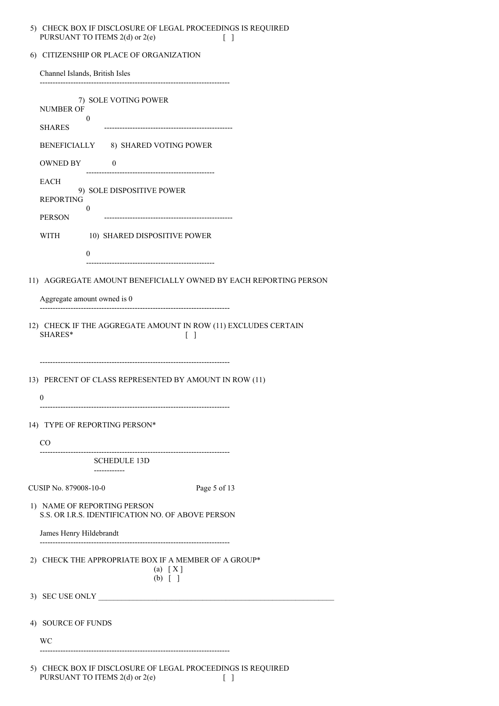## 5) CHECK BOX IF DISCLOSURE OF LEGAL PROCEEDINGS IS REQUIRED PURSUANT TO ITEMS 2(d) or 2(e) [ ]

|  |  |  |  | 6) CITIZENSHIP OR PLACE OF ORGANIZATION |
|--|--|--|--|-----------------------------------------|
|--|--|--|--|-----------------------------------------|

| Channel Islands, British Isles                                                   |  |  |
|----------------------------------------------------------------------------------|--|--|
| 7) SOLE VOTING POWER<br><b>NUMBER OF</b><br>0<br><b>SHARES</b>                   |  |  |
| BENEFICIALLY 8) SHARED VOTING POWER                                              |  |  |
| OWNED BY 0                                                                       |  |  |
| <b>EACH</b>                                                                      |  |  |
| 9) SOLE DISPOSITIVE POWER<br><b>REPORTING</b><br>0<br><b>PERSON</b>              |  |  |
| 10) SHARED DISPOSITIVE POWER<br>WITH                                             |  |  |
| 0                                                                                |  |  |
|                                                                                  |  |  |
| 11) AGGREGATE AMOUNT BENEFICIALLY OWNED BY EACH REPORTING PERSON                 |  |  |
| Aggregate amount owned is 0                                                      |  |  |
| 12) CHECK IF THE AGGREGATE AMOUNT IN ROW (11) EXCLUDES CERTAIN<br>SHARES*<br>Γl  |  |  |
| 13) PERCENT OF CLASS REPRESENTED BY AMOUNT IN ROW (11)<br>0                      |  |  |
| 14) TYPE OF REPORTING PERSON*                                                    |  |  |
| CO                                                                               |  |  |
| ------------------------------<br><b>SCHEDULE 13D</b>                            |  |  |
| -----------                                                                      |  |  |
| CUSIP No. 879008-10-0<br>Page 5 of 13                                            |  |  |
| 1) NAME OF REPORTING PERSON<br>S.S. OR I.R.S. IDENTIFICATION NO. OF ABOVE PERSON |  |  |
| James Henry Hildebrandt<br>-----------------------                               |  |  |
| 2) CHECK THE APPROPRIATE BOX IF A MEMBER OF A GROUP*<br>(a) [X]<br>$(b)$ [ ]     |  |  |
| 3) SEC USE ONLY                                                                  |  |  |
| 4) SOURCE OF FUNDS                                                               |  |  |
| WС                                                                               |  |  |
| <b>DOVIE DIGGLOGIJDE OF LEGA</b><br>$100$ io bealup                              |  |  |

5) CHECK BOX IF DISCLOSURE OF LEGAL PROCEEDINGS IS REQUIRED PURSUANT TO ITEMS 2(d) or 2(e) [ ]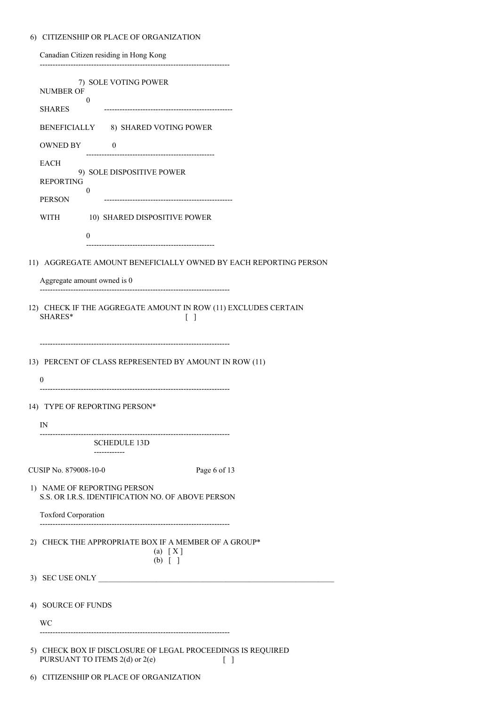# 6) CITIZENSHIP OR PLACE OF ORGANIZATION

Canadian Citizen residing in Hong Kong --------------------------------------------------------------------------

|                                                                                  | 7) SOLE VOTING POWER<br><b>NUMBER OF</b>                                                                |  |
|----------------------------------------------------------------------------------|---------------------------------------------------------------------------------------------------------|--|
|                                                                                  | 0<br><b>SHARES</b>                                                                                      |  |
|                                                                                  | BENEFICIALLY 8) SHARED VOTING POWER                                                                     |  |
|                                                                                  | OWNED BY<br>$\sim$ 0                                                                                    |  |
|                                                                                  | <b>EACH</b>                                                                                             |  |
|                                                                                  | 9) SOLE DISPOSITIVE POWER<br><b>REPORTING</b>                                                           |  |
|                                                                                  | 0<br><b>PERSON</b>                                                                                      |  |
|                                                                                  | WITH<br>10) SHARED DISPOSITIVE POWER                                                                    |  |
|                                                                                  | $\theta$                                                                                                |  |
|                                                                                  |                                                                                                         |  |
|                                                                                  | 11) AGGREGATE AMOUNT BENEFICIALLY OWNED BY EACH REPORTING PERSON                                        |  |
|                                                                                  | Aggregate amount owned is 0<br>---------------------------------                                        |  |
|                                                                                  | 12) CHECK IF THE AGGREGATE AMOUNT IN ROW (11) EXCLUDES CERTAIN<br>SHARES*<br>$\Box$                     |  |
|                                                                                  | 13) PERCENT OF CLASS REPRESENTED BY AMOUNT IN ROW (11)<br>$\mathbf{0}$                                  |  |
|                                                                                  | 14) TYPE OF REPORTING PERSON*                                                                           |  |
|                                                                                  | $_{\rm IN}$                                                                                             |  |
|                                                                                  | SCHEDULE 13D                                                                                            |  |
|                                                                                  | ------------                                                                                            |  |
|                                                                                  | CUSIP No. 879008-10-0<br>Page 6 of 13                                                                   |  |
| 1) NAME OF REPORTING PERSON<br>S.S. OR I.R.S. IDENTIFICATION NO. OF ABOVE PERSON |                                                                                                         |  |
|                                                                                  | <b>Toxford Corporation</b>                                                                              |  |
|                                                                                  | 2) CHECK THE APPROPRIATE BOX IF A MEMBER OF A GROUP*<br>(a) [X]<br>$(b)$ [ ]                            |  |
|                                                                                  | 3) SEC USE ONLY                                                                                         |  |
|                                                                                  | 4) SOURCE OF FUNDS                                                                                      |  |
|                                                                                  | WС                                                                                                      |  |
|                                                                                  |                                                                                                         |  |
|                                                                                  | 5) CHECK BOX IF DISCLOSURE OF LEGAL PROCEEDINGS IS REQUIRED<br>PURSUANT TO ITEMS 2(d) or 2(e)<br>$[\ ]$ |  |
|                                                                                  | 6) CITIZENSHIP OR PLACE OF ORGANIZATION                                                                 |  |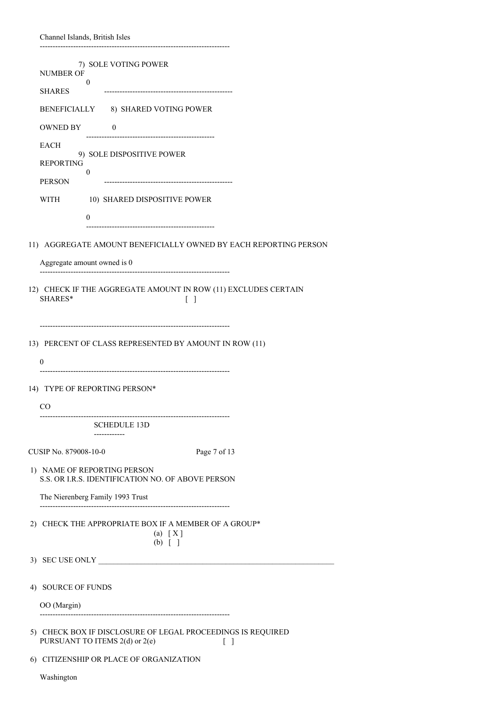|  | Channel Islands, British Isles |  |  |
|--|--------------------------------|--|--|
|--|--------------------------------|--|--|

| 7) SOLE VOTING POWER<br><b>NUMBER OF</b>                                                                       |
|----------------------------------------------------------------------------------------------------------------|
| $\mathbf{0}$<br><b>SHARES</b>                                                                                  |
|                                                                                                                |
| BENEFICIALLY 8) SHARED VOTING POWER                                                                            |
| <b>OWNED BY</b><br>$\overline{0}$                                                                              |
| <b>EACH</b><br>9) SOLE DISPOSITIVE POWER<br><b>REPORTING</b><br>$\boldsymbol{0}$                               |
| <b>PERSON</b>                                                                                                  |
| WITH<br>10) SHARED DISPOSITIVE POWER<br>0                                                                      |
|                                                                                                                |
| 11) AGGREGATE AMOUNT BENEFICIALLY OWNED BY EACH REPORTING PERSON                                               |
| Aggregate amount owned is 0                                                                                    |
| 12) CHECK IF THE AGGREGATE AMOUNT IN ROW (11) EXCLUDES CERTAIN<br>SHARES*<br>$\lceil$ 1                        |
| 13) PERCENT OF CLASS REPRESENTED BY AMOUNT IN ROW (11)<br>$\theta$                                             |
| 14) TYPE OF REPORTING PERSON*                                                                                  |
| CO <sup>-</sup>                                                                                                |
| --------------------------------------<br><b>SCHEDULE 13D</b><br>------------                                  |
| CUSIP No. 879008-10-0<br>Page 7 of 13                                                                          |
| 1) NAME OF REPORTING PERSON<br>S.S. OR I.R.S. IDENTIFICATION NO. OF ABOVE PERSON                               |
| The Nierenberg Family 1993 Trust                                                                               |
| 2) CHECK THE APPROPRIATE BOX IF A MEMBER OF A GROUP*<br>$(a) \quad [X]$<br>$(b)$ [ ]                           |
| 3) SEC USE ONLY                                                                                                |
| 4) SOURCE OF FUNDS                                                                                             |
| OO (Margin)                                                                                                    |
| 5) CHECK BOX IF DISCLOSURE OF LEGAL PROCEEDINGS IS REQUIRED<br>PURSUANT TO ITEMS 2(d) or 2(e)<br>$\lceil$<br>L |
| 6) CITIZENSHIP OR PLACE OF ORGANIZATION                                                                        |
| Washington                                                                                                     |

--------------------------------------------------------------------------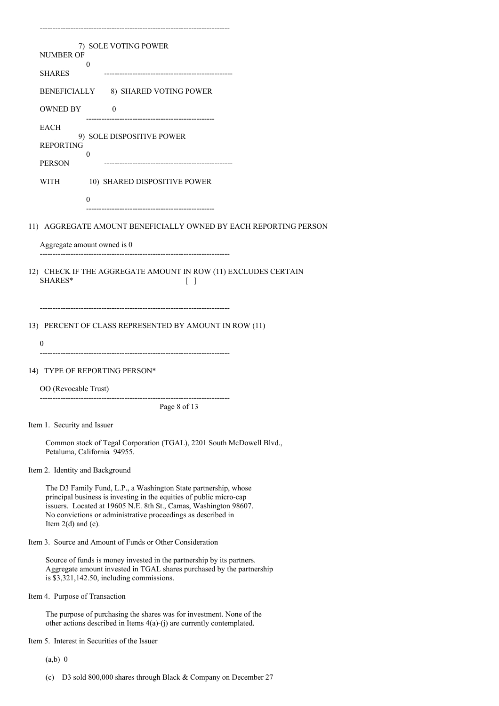| 7) SOLE VOTING POWER                                                                                                                                                                                                                                                                               |
|----------------------------------------------------------------------------------------------------------------------------------------------------------------------------------------------------------------------------------------------------------------------------------------------------|
| <b>NUMBER OF</b><br>$\bf{0}$                                                                                                                                                                                                                                                                       |
| SHARES                                                                                                                                                                                                                                                                                             |
| BENEFICIALLY 8) SHARED VOTING POWER                                                                                                                                                                                                                                                                |
| OWNED BY 0                                                                                                                                                                                                                                                                                         |
| <b>EACH</b><br>9) SOLE DISPOSITIVE POWER                                                                                                                                                                                                                                                           |
| <b>REPORTING</b>                                                                                                                                                                                                                                                                                   |
| $\bf{0}$<br><b>PERSON</b>                                                                                                                                                                                                                                                                          |
| WITH<br>10) SHARED DISPOSITIVE POWER                                                                                                                                                                                                                                                               |
| $\theta$                                                                                                                                                                                                                                                                                           |
|                                                                                                                                                                                                                                                                                                    |
| 11) AGGREGATE AMOUNT BENEFICIALLY OWNED BY EACH REPORTING PERSON                                                                                                                                                                                                                                   |
| Aggregate amount owned is 0                                                                                                                                                                                                                                                                        |
| 12) CHECK IF THE AGGREGATE AMOUNT IN ROW (11) EXCLUDES CERTAIN<br>SHARES*<br>$\perp$                                                                                                                                                                                                               |
| 13) PERCENT OF CLASS REPRESENTED BY AMOUNT IN ROW (11)<br>0                                                                                                                                                                                                                                        |
| 14) TYPE OF REPORTING PERSON*                                                                                                                                                                                                                                                                      |
| OO (Revocable Trust)                                                                                                                                                                                                                                                                               |
| Page 8 of 13                                                                                                                                                                                                                                                                                       |
| Item 1. Security and Issuer                                                                                                                                                                                                                                                                        |
| Common stock of Tegal Corporation (TGAL), 2201 South McDowell Blvd.,<br>Petaluma, California 94955.                                                                                                                                                                                                |
| Item 2. Identity and Background                                                                                                                                                                                                                                                                    |
| The D3 Family Fund, L.P., a Washington State partnership, whose<br>principal business is investing in the equities of public micro-cap<br>issuers. Located at 19605 N.E. 8th St., Camas, Washington 98607.<br>No convictions or administrative proceedings as described in<br>Item $2(d)$ and (e). |
| Item 3. Source and Amount of Funds or Other Consideration                                                                                                                                                                                                                                          |
| Source of funds is money invested in the partnership by its partners.<br>Aggregate amount invested in TGAL shares purchased by the partnership<br>is \$3,321,142.50, including commissions.                                                                                                        |
| Item 4. Purpose of Transaction                                                                                                                                                                                                                                                                     |
| The purpose of purchasing the shares was for investment. None of the<br>other actions described in Items $4(a)-(j)$ are currently contemplated.                                                                                                                                                    |
| Item 5. Interest in Securities of the Issuer                                                                                                                                                                                                                                                       |

--------------------------------------------------------------------------

- (a,b) 0
- (c) D3 sold 800,000 shares through Black & Company on December 27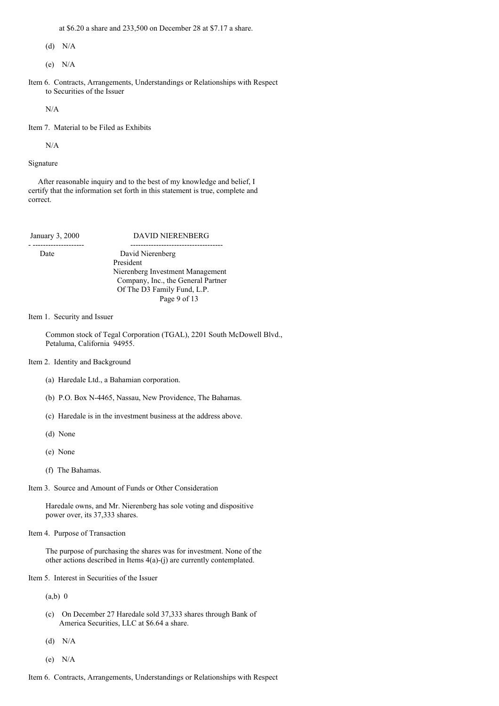at \$6.20 a share and 233,500 on December 28 at \$7.17 a share.

(d) N/A

(e) N/A

Item 6. Contracts, Arrangements, Understandings or Relationships with Respect to Securities of the Issuer

N/A

Item 7. Material to be Filed as Exhibits

N/A

Signature

After reasonable inquiry and to the best of my knowledge and belief, I certify that the information set forth in this statement is true, complete and correct.

January 3, 2000 DAVID NIERENBERG - -------------------- ------------------------------------ Date David Nierenberg President Nierenberg Investment Management Company, Inc., the General Partner Of The D3 Family Fund, L.P. Page 9 of 13

Item 1. Security and Issuer

Common stock of Tegal Corporation (TGAL), 2201 South McDowell Blvd., Petaluma, California 94955.

#### Item 2. Identity and Background

- (a) Haredale Ltd., a Bahamian corporation.
- (b) P.O. Box N-4465, Nassau, New Providence, The Bahamas.
- (c) Haredale is in the investment business at the address above.
- (d) None
- (e) None
- (f) The Bahamas.
- Item 3. Source and Amount of Funds or Other Consideration

Haredale owns, and Mr. Nierenberg has sole voting and dispositive power over, its 37,333 shares.

Item 4. Purpose of Transaction

The purpose of purchasing the shares was for investment. None of the other actions described in Items 4(a)-(j) are currently contemplated.

Item 5. Interest in Securities of the Issuer

 $(a,b)$  0

- (c) On December 27 Haredale sold 37,333 shares through Bank of America Securities, LLC at \$6.64 a share.
- (d) N/A
- (e) N/A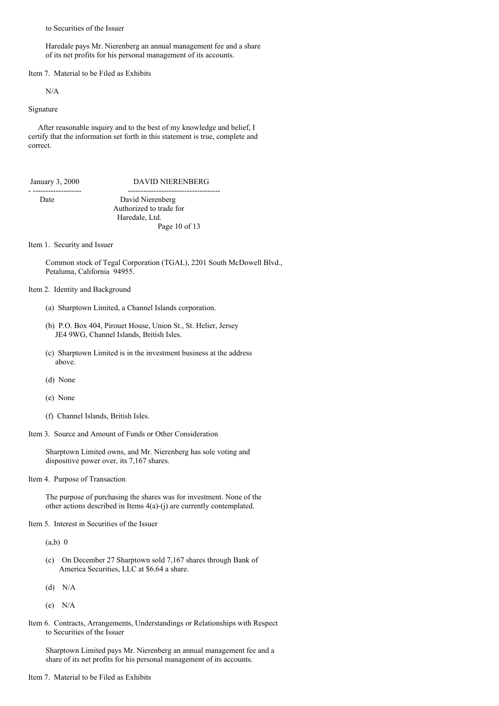to Securities of the Issuer

Haredale pays Mr. Nierenberg an annual management fee and a share of its net profits for his personal management of its accounts.

Item 7. Material to be Filed as Exhibits

N/A

Signature

After reasonable inquiry and to the best of my knowledge and belief, I certify that the information set forth in this statement is true, complete and correct.

| January 3, 2000 |  |
|-----------------|--|
|                 |  |

# ry 3, 2000 DAVID NIERENBERG

- ------------------- ------------------------------------ Date David Nierenberg Authorized to trade for Haredale, Ltd. Page 10 of 13

Item 1. Security and Issuer

Common stock of Tegal Corporation (TGAL), 2201 South McDowell Blvd., Petaluma, California 94955.

### Item 2. Identity and Background

- (a) Sharptown Limited, a Channel Islands corporation.
- (b) P.O. Box 404, Pirouet House, Union St., St. Helier, Jersey JE4 9WG, Channel Islands, British Isles.
- (c) Sharptown Limited is in the investment business at the address above.
- (d) None
- (e) None
- (f) Channel Islands, British Isles.
- Item 3. Source and Amount of Funds or Other Consideration

Sharptown Limited owns, and Mr. Nierenberg has sole voting and dispositive power over, its 7,167 shares.

Item 4. Purpose of Transaction

The purpose of purchasing the shares was for investment. None of the other actions described in Items 4(a)-(j) are currently contemplated.

Item 5. Interest in Securities of the Issuer

 $(a,b)$  0

- (c) On December 27 Sharptown sold 7,167 shares through Bank of America Securities, LLC at \$6.64 a share.
- (d) N/A
- (e) N/A
- Item 6. Contracts, Arrangements, Understandings or Relationships with Respect to Securities of the Issuer

Sharptown Limited pays Mr. Nierenberg an annual management fee and a share of its net profits for his personal management of its accounts.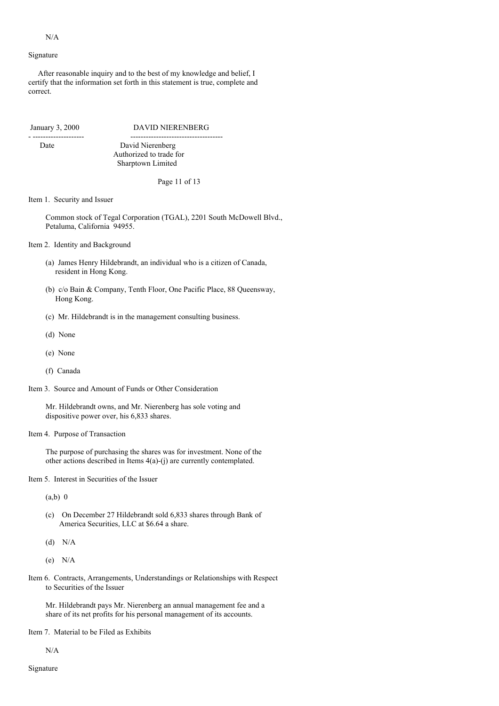#### N/A

#### Signature

After reasonable inquiry and to the best of my knowledge and belief, I certify that the information set forth in this statement is true, complete and correct.

- -------------------- ------------------------------------

January 3, 2000 DAVID NIERENBERG

Date David Nierenberg Authorized to trade for Sharptown Limited

Page 11 of 13

#### Item 1. Security and Issuer

Common stock of Tegal Corporation (TGAL), 2201 South McDowell Blvd., Petaluma, California 94955.

Item 2. Identity and Background

- (a) James Henry Hildebrandt, an individual who is a citizen of Canada, resident in Hong Kong.
- (b) c/o Bain & Company, Tenth Floor, One Pacific Place, 88 Queensway, Hong Kong.
- (c) Mr. Hildebrandt is in the management consulting business.
- (d) None
- (e) None
- (f) Canada
- Item 3. Source and Amount of Funds or Other Consideration

Mr. Hildebrandt owns, and Mr. Nierenberg has sole voting and dispositive power over, his 6,833 shares.

#### Item 4. Purpose of Transaction

The purpose of purchasing the shares was for investment. None of the other actions described in Items 4(a)-(j) are currently contemplated.

Item 5. Interest in Securities of the Issuer

(a,b) 0

- (c) On December 27 Hildebrandt sold 6,833 shares through Bank of America Securities, LLC at \$6.64 a share.
- (d) N/A
- (e) N/A
- Item 6. Contracts, Arrangements, Understandings or Relationships with Respect to Securities of the Issuer

Mr. Hildebrandt pays Mr. Nierenberg an annual management fee and a share of its net profits for his personal management of its accounts.

Item 7. Material to be Filed as Exhibits

N/A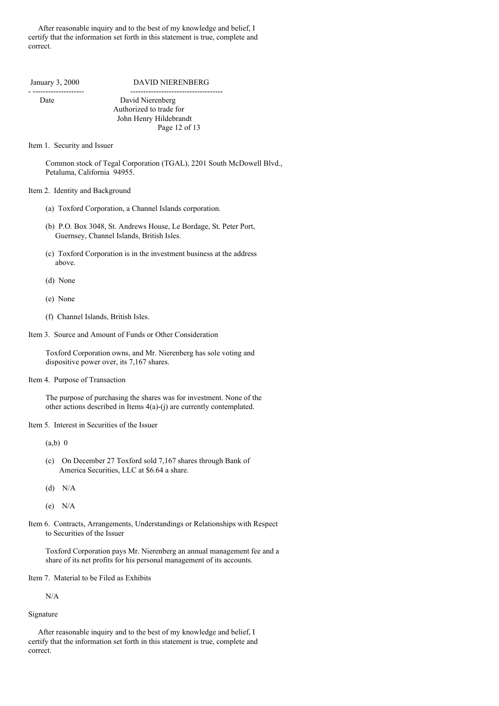After reasonable inquiry and to the best of my knowledge and belief, I certify that the information set forth in this statement is true, complete and correct.

January 3, 2000 DAVID NIERENBERG

 $-$ 

Date David Nierenberg Authorized to trade for John Henry Hildebrandt Page 12 of 13

Item 1. Security and Issuer

Common stock of Tegal Corporation (TGAL), 2201 South McDowell Blvd., Petaluma, California 94955.

### Item 2. Identity and Background

- (a) Toxford Corporation, a Channel Islands corporation.
- (b) P.O. Box 3048, St. Andrews House, Le Bordage, St. Peter Port, Guernsey, Channel Islands, British Isles.
- (c) Toxford Corporation is in the investment business at the address above.
- (d) None
- (e) None
- (f) Channel Islands, British Isles.
- Item 3. Source and Amount of Funds or Other Consideration

Toxford Corporation owns, and Mr. Nierenberg has sole voting and dispositive power over, its 7,167 shares.

Item 4. Purpose of Transaction

The purpose of purchasing the shares was for investment. None of the other actions described in Items 4(a)-(j) are currently contemplated.

Item 5. Interest in Securities of the Issuer

(a,b) 0

- (c) On December 27 Toxford sold 7,167 shares through Bank of America Securities, LLC at \$6.64 a share.
- (d) N/A
- (e) N/A
- Item 6. Contracts, Arrangements, Understandings or Relationships with Respect to Securities of the Issuer

Toxford Corporation pays Mr. Nierenberg an annual management fee and a share of its net profits for his personal management of its accounts.

Item 7. Material to be Filed as Exhibits

N/A

#### Signature

After reasonable inquiry and to the best of my knowledge and belief, I certify that the information set forth in this statement is true, complete and correct.